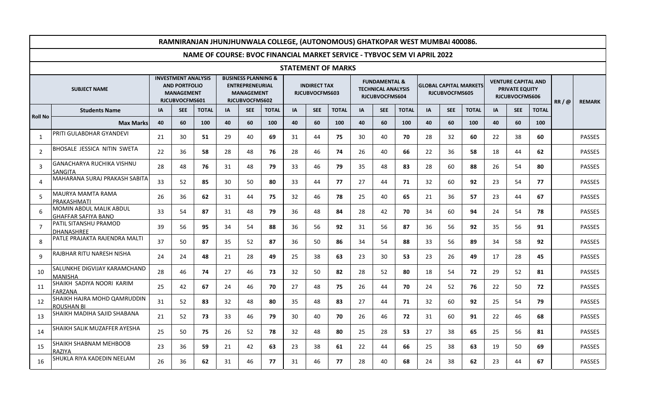| RAMNIRANJAN JHUNJHUNWALA COLLEGE, (AUTONOMOUS) GHATKOPAR WEST MUMBAI 400086. |                                                       |                                                                                           |            |              |                                                                                                 |            |              |                                       |            |              |                                                                         |            |              |                                                        |            |              |    |                                                                       |              |               |               |
|------------------------------------------------------------------------------|-------------------------------------------------------|-------------------------------------------------------------------------------------------|------------|--------------|-------------------------------------------------------------------------------------------------|------------|--------------|---------------------------------------|------------|--------------|-------------------------------------------------------------------------|------------|--------------|--------------------------------------------------------|------------|--------------|----|-----------------------------------------------------------------------|--------------|---------------|---------------|
| NAME OF COURSE: BVOC FINANCIAL MARKET SERVICE - TYBVOC SEM VI APRIL 2022     |                                                       |                                                                                           |            |              |                                                                                                 |            |              |                                       |            |              |                                                                         |            |              |                                                        |            |              |    |                                                                       |              |               |               |
| <b>STATEMENT OF MARKS</b>                                                    |                                                       |                                                                                           |            |              |                                                                                                 |            |              |                                       |            |              |                                                                         |            |              |                                                        |            |              |    |                                                                       |              |               |               |
| <b>SUBJECT NAME</b>                                                          |                                                       | <b>INVESTMENT ANALYSIS</b><br><b>AND PORTFOLIO</b><br><b>MANAGEMENT</b><br>RJCUBVOCFMS601 |            |              | <b>BUSINESS PLANNING &amp;</b><br><b>ENTREPRENEURIAL</b><br><b>MANAGEMENT</b><br>RJCUBVOCFMS602 |            |              | <b>INDIRECT TAX</b><br>RJCUBVOCFMS603 |            |              | <b>FUNDAMENTAL &amp;</b><br><b>TECHNICAL ANALYSIS</b><br>RJCUBVOCFMS604 |            |              | <b>GLOBAL CAPITAL MARKETS</b><br><b>RJCUBVOCFMS605</b> |            |              |    | <b>VENTURE CAPITAL AND</b><br><b>PRIVATE EQUITY</b><br>RJCUBVOCFMS606 | RR/@         | <b>REMARK</b> |               |
| <b>Roll No</b>                                                               | <b>Students Name</b>                                  | <b>IA</b>                                                                                 | <b>SEE</b> | <b>TOTAL</b> | IA                                                                                              | <b>SEE</b> | <b>TOTAL</b> | <b>IA</b>                             | <b>SEE</b> | <b>TOTAL</b> | <b>IA</b>                                                               | <b>SEE</b> | <b>TOTAL</b> | IA                                                     | <b>SEE</b> | <b>TOTAL</b> | IA | <b>SEE</b>                                                            | <b>TOTAL</b> |               |               |
|                                                                              | <b>Max Marks</b>                                      | 40                                                                                        | 60         | 100          | 40                                                                                              | 60         | 100          | 40                                    | 60         | 100          | 40                                                                      | 60         | 100          | 40                                                     | 60         | 100          | 40 | 60                                                                    | 100          |               |               |
| 1                                                                            | PRITI GULABDHAR GYANDEVI                              | 21                                                                                        | 30         | 51           | 29                                                                                              | 40         | 69           | 31                                    | 44         | 75           | 30                                                                      | 40         | 70           | 28                                                     | 32         | 60           | 22 | 38                                                                    | 60           |               | <b>PASSES</b> |
| $\overline{2}$                                                               | BHOSALE JESSICA NITIN SWETA                           | 22                                                                                        | 36         | 58           | 28                                                                                              | 48         | 76           | 28                                    | 46         | 74           | 26                                                                      | 40         | 66           | 22                                                     | 36         | 58           | 18 | 44                                                                    | 62           |               | <b>PASSES</b> |
| 3                                                                            | <b>GANACHARYA RUCHIKA VISHNU</b><br><b>SANGITA</b>    | 28                                                                                        | 48         | 76           | 31                                                                                              | 48         | 79           | 33                                    | 46         | 79           | 35                                                                      | 48         | 83           | 28                                                     | 60         | 88           | 26 | 54                                                                    | 80           |               | <b>PASSES</b> |
| $\overline{4}$                                                               | MAHARANA SURAJ PRAKASH SABITA                         | 33                                                                                        | 52         | 85           | 30                                                                                              | 50         | 80           | 33                                    | 44         | 77           | 27                                                                      | 44         | 71           | 32                                                     | 60         | 92           | 23 | 54                                                                    | 77           |               | <b>PASSES</b> |
| 5                                                                            | MAURYA MAMTA RAMA<br>PRAKASHMATI                      | 26                                                                                        | 36         | 62           | 31                                                                                              | 44         | 75           | 32                                    | 46         | 78           | 25                                                                      | 40         | 65           | 21                                                     | 36         | 57           | 23 | 44                                                                    | 67           |               | <b>PASSES</b> |
| 6                                                                            | MOMIN ABDUL MALIK ABDUL<br><b>GHAFFAR SAFIYA BANO</b> | 33                                                                                        | 54         | 87           | 31                                                                                              | 48         | 79           | 36                                    | 48         | 84           | 28                                                                      | 42         | 70           | 34                                                     | 60         | 94           | 24 | 54                                                                    | 78           |               | <b>PASSES</b> |
| $\overline{7}$                                                               | PATIL SITANSHU PRAMOD<br><b>DHANASHREE</b>            | 39                                                                                        | 56         | 95           | 34                                                                                              | 54         | 88           | 36                                    | 56         | 92           | 31                                                                      | 56         | 87           | 36                                                     | 56         | 92           | 35 | 56                                                                    | 91           |               | <b>PASSES</b> |
| 8                                                                            | PATLE PRAJAKTA RAJENDRA MALTI                         | 37                                                                                        | 50         | 87           | 35                                                                                              | 52         | 87           | 36                                    | 50         | 86           | 34                                                                      | 54         | 88           | 33                                                     | 56         | 89           | 34 | 58                                                                    | 92           |               | <b>PASSES</b> |
| 9                                                                            | RAJBHAR RITU NARESH NISHA                             | 24                                                                                        | 24         | 48           | 21                                                                                              | 28         | 49           | 25                                    | 38         | 63           | 23                                                                      | 30         | 53           | 23                                                     | 26         | 49           | 17 | 28                                                                    | 45           |               | PASSES        |
| 10                                                                           | SALUNKHE DIGVIJAY KARAMCHAND<br><b>MANISHA</b>        | 28                                                                                        | 46         | 74           | 27                                                                                              | 46         | 73           | 32                                    | 50         | 82           | 28                                                                      | 52         | 80           | 18                                                     | 54         | 72           | 29 | 52                                                                    | 81           |               | <b>PASSES</b> |
| 11                                                                           | SHAIKH SADIYA NOORI KARIM<br><b>FARZANA</b>           | 25                                                                                        | 42         | 67           | 24                                                                                              | 46         | 70           | 27                                    | 48         | 75           | 26                                                                      | 44         | 70           | 24                                                     | 52         | 76           | 22 | 50                                                                    | 72           |               | <b>PASSES</b> |
| 12                                                                           | SHAIKH HAJRA MOHD QAMRUDDIN<br><b>ROUSHAN BI</b>      | 31                                                                                        | 52         | 83           | 32                                                                                              | 48         | 80           | 35                                    | 48         | 83           | 27                                                                      | 44         | 71           | 32                                                     | 60         | 92           | 25 | 54                                                                    | 79           |               | <b>PASSES</b> |
| 13                                                                           | SHAIKH MADIHA SAJID SHABANA                           | 21                                                                                        | 52         | 73           | 33                                                                                              | 46         | 79           | 30                                    | 40         | 70           | 26                                                                      | 46         | 72           | 31                                                     | 60         | 91           | 22 | 46                                                                    | 68           |               | <b>PASSES</b> |
| 14                                                                           | SHAIKH SALIK MUZAFFER AYESHA                          | 25                                                                                        | 50         | 75           | 26                                                                                              | 52         | 78           | 32                                    | 48         | 80           | 25                                                                      | 28         | 53           | 27                                                     | 38         | 65           | 25 | 56                                                                    | 81           |               | <b>PASSES</b> |
| 15                                                                           | <b>SHAIKH SHABNAM MEHBOOB</b><br><b>RAZIYA</b>        | 23                                                                                        | 36         | 59           | 21                                                                                              | 42         | 63           | 23                                    | 38         | 61           | 22                                                                      | 44         | 66           | 25                                                     | 38         | 63           | 19 | 50                                                                    | 69           |               | <b>PASSES</b> |
| 16                                                                           | SHUKLA RIYA KADEDIN NEELAM                            | 26                                                                                        | 36         | 62           | 31                                                                                              | 46         | 77           | 31                                    | 46         | 77           | 28                                                                      | 40         | 68           | 24                                                     | 38         | 62           | 23 | 44                                                                    | 67           |               | <b>PASSES</b> |